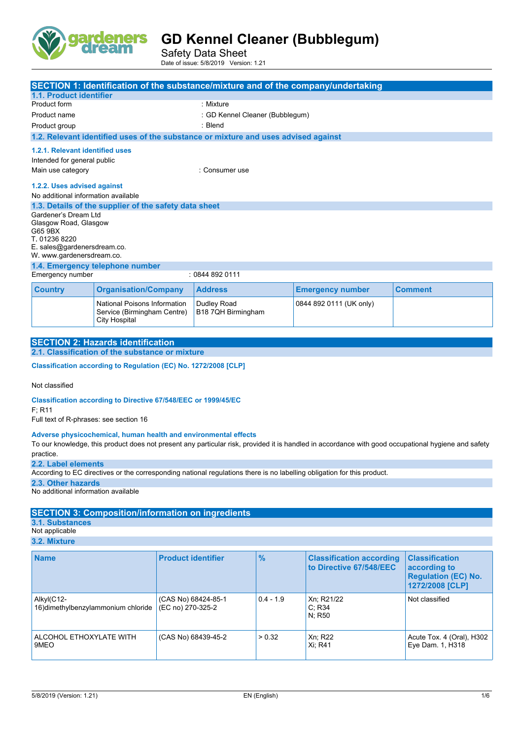

Safety Data Sheet Date of issue: 5/8/2019 Version: 1.21

|                                                                                                          |                                                                                     | <b>SECTION 1: Identification of the substance/mixture and of the company/undertaking</b> |                         |                |  |
|----------------------------------------------------------------------------------------------------------|-------------------------------------------------------------------------------------|------------------------------------------------------------------------------------------|-------------------------|----------------|--|
| 1.1. Product identifier                                                                                  |                                                                                     |                                                                                          |                         |                |  |
| Product form                                                                                             |                                                                                     | : Mixture                                                                                |                         |                |  |
| Product name                                                                                             |                                                                                     | : GD Kennel Cleaner (Bubblegum)                                                          |                         |                |  |
| Product group                                                                                            |                                                                                     | : Blend                                                                                  |                         |                |  |
|                                                                                                          |                                                                                     | 1.2. Relevant identified uses of the substance or mixture and uses advised against       |                         |                |  |
| 1.2.1. Relevant identified uses<br>Intended for general public                                           |                                                                                     |                                                                                          |                         |                |  |
| Main use category<br>: Consumer use                                                                      |                                                                                     |                                                                                          |                         |                |  |
|                                                                                                          | 1.2.2. Uses advised against<br>No additional information available                  |                                                                                          |                         |                |  |
|                                                                                                          | 1.3. Details of the supplier of the safety data sheet                               |                                                                                          |                         |                |  |
| Gardener's Dream Ltd<br>Glasgow Road, Glasgow<br>G65 9BX<br>T. 01236 8220<br>E. sales@gardenersdream.co. |                                                                                     |                                                                                          |                         |                |  |
| W. www.gardenersdream.co.                                                                                |                                                                                     |                                                                                          |                         |                |  |
|                                                                                                          | 1.4. Emergency telephone number                                                     |                                                                                          |                         |                |  |
| Emergency number<br>: 08448920111                                                                        |                                                                                     |                                                                                          |                         |                |  |
| <b>Country</b>                                                                                           | <b>Organisation/Company</b>                                                         | <b>Address</b>                                                                           | <b>Emergency number</b> | <b>Comment</b> |  |
|                                                                                                          | National Poisons Information<br>Service (Birmingham Centre)<br><b>City Hospital</b> | Dudley Road<br>B18 7QH Birmingham                                                        | 0844 892 0111 (UK only) |                |  |

| <b>SECTION 2: Hazards identification</b>        |
|-------------------------------------------------|
| 2.1. Classification of the substance or mixture |
|                                                 |

**Classification according to Regulation (EC) No. 1272/2008 [CLP]** 

Not classified

**Classification according to Directive 67/548/EEC or 1999/45/EC**

F; R11

Full text of R-phrases: see section 16

#### **Adverse physicochemical, human health and environmental effects**

To our knowledge, this product does not present any particular risk, provided it is handled in accordance with good occupational hygiene and safety practice.

**2.2. Label elements**

According to EC directives or the corresponding national regulations there is no labelling obligation for this product.

**2.3. Other hazards**

No additional information available

### **SECTION 3: Composition/information on ingredients**

**3.1. Substances**

Not applicable **3.2. Mixture**

| <b>Name</b>                                       | <b>Product identifier</b>                | $\frac{9}{6}$ | <b>Classification according</b><br>to Directive 67/548/EEC | <b>Classification</b><br>according to<br><b>Regulation (EC) No.</b><br>1272/2008 [CLP] |
|---------------------------------------------------|------------------------------------------|---------------|------------------------------------------------------------|----------------------------------------------------------------------------------------|
| Alkyl(C12-<br>16) dimethylbenzylammonium chloride | (CAS No) 68424-85-1<br>(EC no) 270-325-2 | $0.4 - 1.9$   | Xn; R21/22<br>C: R34<br>N: R50                             | Not classified                                                                         |
| ALCOHOL ETHOXYLATE WITH<br>9MEO                   | (CAS No) 68439-45-2                      | > 0.32        | Xn; R22<br>Xi: R41                                         | Acute Tox. 4 (Oral), H302  <br>Eye Dam. 1, H318                                        |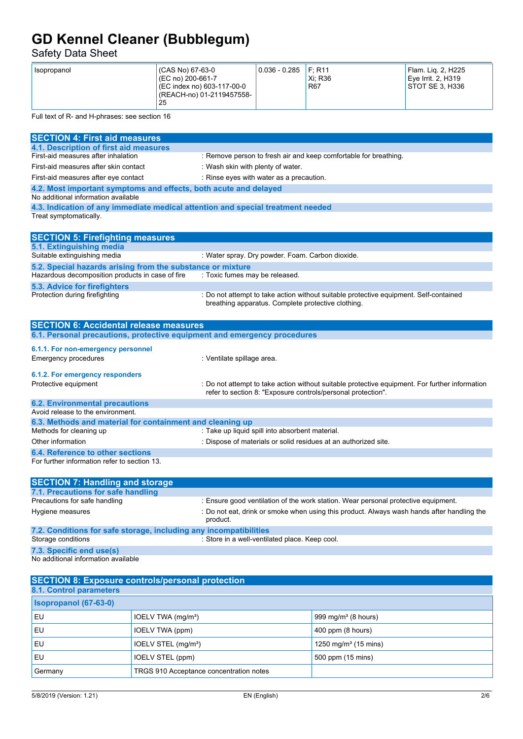Safety Data Sheet

| (CAS No) 67-63-0<br>Isopropanol<br>(EC no) 200-661-7<br>(EC index no) 603-117-00-0<br>(REACH-no) 01-2119457558-<br>25 | 0.036 - 0.285 | F: R11<br>Xi: R36<br><b>R67</b> | <sup>1</sup> Flam. Lig. 2, H225<br>Eye Irrit. 2, H319<br>STOT SE 3, H336 |
|-----------------------------------------------------------------------------------------------------------------------|---------------|---------------------------------|--------------------------------------------------------------------------|
|-----------------------------------------------------------------------------------------------------------------------|---------------|---------------------------------|--------------------------------------------------------------------------|

Full text of R- and H-phrases: see section 16

| <b>SECTION 4: First aid measures</b>                                                                    |                                                                                                        |
|---------------------------------------------------------------------------------------------------------|--------------------------------------------------------------------------------------------------------|
| 4.1. Description of first aid measures                                                                  |                                                                                                        |
| First-aid measures after inhalation                                                                     | : Remove person to fresh air and keep comfortable for breathing.                                       |
| First-aid measures after skin contact                                                                   | : Wash skin with plenty of water.                                                                      |
| First-aid measures after eye contact                                                                    | : Rinse eyes with water as a precaution.                                                               |
| 4.2. Most important symptoms and effects, both acute and delayed<br>No additional information available |                                                                                                        |
| 4.3. Indication of any immediate medical attention and special treatment needed                         |                                                                                                        |
| Treat symptomatically.                                                                                  |                                                                                                        |
|                                                                                                         |                                                                                                        |
| <b>SECTION 5: Firefighting measures</b>                                                                 |                                                                                                        |
| 5.1. Extinguishing media                                                                                |                                                                                                        |
| Suitable extinguishing media                                                                            | : Water spray. Dry powder. Foam. Carbon dioxide.                                                       |
| 5.2. Special hazards arising from the substance or mixture                                              |                                                                                                        |
| Hazardous decomposition products in case of fire                                                        | : Toxic fumes may be released.                                                                         |
| 5.3. Advice for firefighters                                                                            |                                                                                                        |
| Protection during firefighting                                                                          | : Do not attempt to take action without suitable protective equipment. Self-contained                  |
|                                                                                                         | breathing apparatus. Complete protective clothing.                                                     |
|                                                                                                         |                                                                                                        |
| <b>SECTION 6: Accidental release measures</b>                                                           |                                                                                                        |
| 6.1. Personal precautions, protective equipment and emergency procedures                                |                                                                                                        |
| 6.1.1. For non-emergency personnel                                                                      |                                                                                                        |
| Emergency procedures                                                                                    | : Ventilate spillage area.                                                                             |
|                                                                                                         |                                                                                                        |
| 6.1.2. For emergency responders                                                                         |                                                                                                        |
| Protective equipment                                                                                    | : Do not attempt to take action without suitable protective equipment. For further information         |
|                                                                                                         | refer to section 8: "Exposure controls/personal protection".                                           |
| <b>6.2. Environmental precautions</b>                                                                   |                                                                                                        |
| Avoid release to the environment.                                                                       |                                                                                                        |
| 6.3. Methods and material for containment and cleaning up                                               |                                                                                                        |
| Methods for cleaning up                                                                                 | : Take up liquid spill into absorbent material.                                                        |
| Other information                                                                                       | : Dispose of materials or solid residues at an authorized site.                                        |
| 6.4. Reference to other sections                                                                        |                                                                                                        |
| For further information refer to section 13.                                                            |                                                                                                        |
|                                                                                                         |                                                                                                        |
| <b>SECTION 7: Handling and storage</b>                                                                  |                                                                                                        |
| 7.1. Precautions for safe handling                                                                      |                                                                                                        |
| Precautions for safe handling                                                                           | : Ensure good ventilation of the work station. Wear personal protective equipment.                     |
| Hygiene measures                                                                                        | : Do not eat, drink or smoke when using this product. Always wash hands after handling the<br>product. |
| 7.2. Conditions for safe storage, including any incompatibilities                                       |                                                                                                        |
| Storage conditions                                                                                      | : Store in a well-ventilated place. Keep cool.                                                         |
| 7.3. Specific end use(s)                                                                                |                                                                                                        |
| No additional information available                                                                     |                                                                                                        |
|                                                                                                         |                                                                                                        |
| <b>SECTION 8: Exposure controls/personal protection</b>                                                 |                                                                                                        |
|                                                                                                         |                                                                                                        |

| 8.1. Control parameters      |                                         |                                  |
|------------------------------|-----------------------------------------|----------------------------------|
| <b>Isopropanol (67-63-0)</b> |                                         |                                  |
| EU                           | IOELV TWA (mg/m <sup>3</sup> )          | 999 mg/m $3$ (8 hours)           |
| EU                           | IOELV TWA (ppm)                         | 400 ppm (8 hours)                |
| <b>EU</b>                    | IOELV STEL (mg/m <sup>3</sup> )         | 1250 mg/m <sup>3</sup> (15 mins) |
| EU                           | IOELV STEL (ppm)                        | 500 ppm (15 mins)                |
| Germany                      | TRGS 910 Acceptance concentration notes |                                  |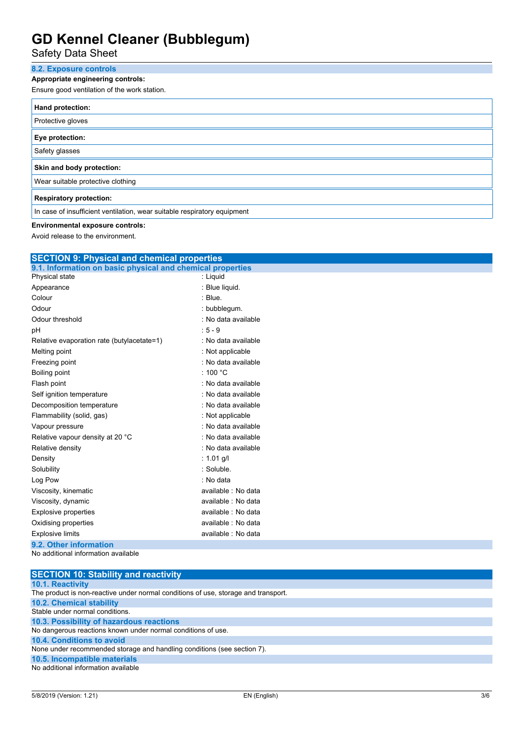Safety Data Sheet

## **8.2. Exposure controls**

### **Appropriate engineering controls:**

Ensure good ventilation of the work station.

| Hand protection:                                                         |  |  |
|--------------------------------------------------------------------------|--|--|
| Protective gloves                                                        |  |  |
| Eye protection:                                                          |  |  |
| Safety glasses                                                           |  |  |
| Skin and body protection:                                                |  |  |
| Wear suitable protective clothing                                        |  |  |
| <b>Respiratory protection:</b>                                           |  |  |
| In case of insufficient ventilation, wear suitable respiratory equipment |  |  |

### **Environmental exposure controls:**

Avoid release to the environment.

| <b>SECTION 9: Physical and chemical properties</b>         |                     |  |  |
|------------------------------------------------------------|---------------------|--|--|
| 9.1. Information on basic physical and chemical properties |                     |  |  |
| Physical state                                             | : Liquid            |  |  |
| Appearance                                                 | : Blue liquid.      |  |  |
| Colour                                                     | : Blue.             |  |  |
| Odour                                                      | : bubblegum.        |  |  |
| Odour threshold                                            | : No data available |  |  |
| pH                                                         | $: 5 - 9$           |  |  |
| Relative evaporation rate (butylacetate=1)                 | : No data available |  |  |
| Melting point                                              | : Not applicable    |  |  |
| Freezing point                                             | : No data available |  |  |
| Boiling point                                              | : 100 $^{\circ}$ C  |  |  |
| Flash point                                                | : No data available |  |  |
| Self ignition temperature                                  | : No data available |  |  |
| Decomposition temperature                                  | : No data available |  |  |
| Flammability (solid, gas)                                  | : Not applicable    |  |  |
| Vapour pressure                                            | : No data available |  |  |
| Relative vapour density at 20 °C                           | : No data available |  |  |
| Relative density                                           | : No data available |  |  |
| Density                                                    | : 1.01 g/l          |  |  |
| Solubility                                                 | : Soluble.          |  |  |
| Log Pow                                                    | : No data           |  |  |
| Viscosity, kinematic                                       | available : No data |  |  |
| Viscosity, dynamic                                         | available : No data |  |  |
| <b>Explosive properties</b>                                | available : No data |  |  |
| Oxidising properties                                       | available : No data |  |  |
| <b>Explosive limits</b>                                    | available : No data |  |  |
| 9.2. Other information                                     |                     |  |  |
| No additional information available                        |                     |  |  |

| <b>SECTION 10: Stability and reactivity</b>                                        |
|------------------------------------------------------------------------------------|
| <b>10.1. Reactivity</b>                                                            |
| The product is non-reactive under normal conditions of use, storage and transport. |
| <b>10.2. Chemical stability</b>                                                    |
| Stable under normal conditions.                                                    |
| 10.3. Possibility of hazardous reactions                                           |
| No dangerous reactions known under normal conditions of use.                       |
| 10.4. Conditions to avoid                                                          |
| None under recommended storage and handling conditions (see section 7).            |
| 10.5. Incompatible materials                                                       |
| No additional information available                                                |
|                                                                                    |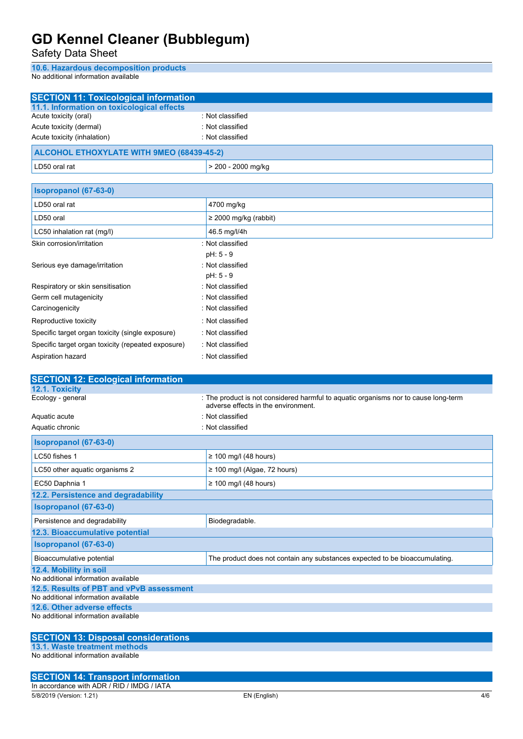Safety Data Sheet

**10.6. Hazardous decomposition products**

No additional information available

| <b>SECTION 11: Toxicological information</b>                                    |                                                                                                                            |
|---------------------------------------------------------------------------------|----------------------------------------------------------------------------------------------------------------------------|
| 11.1. Information on toxicological effects                                      |                                                                                                                            |
| Acute toxicity (oral)                                                           | : Not classified                                                                                                           |
| Acute toxicity (dermal)                                                         | : Not classified                                                                                                           |
| Acute toxicity (inhalation)                                                     | : Not classified                                                                                                           |
| <b>ALCOHOL ETHOXYLATE WITH 9MEO (68439-45-2)</b>                                |                                                                                                                            |
| LD50 oral rat                                                                   | > 200 - 2000 mg/kg                                                                                                         |
| Isopropanol (67-63-0)                                                           |                                                                                                                            |
| LD50 oral rat                                                                   | 4700 mg/kg                                                                                                                 |
| LD50 oral                                                                       | $\geq$ 2000 mg/kg (rabbit)                                                                                                 |
| LC50 inhalation rat (mg/l)                                                      | 46.5 mg/l/4h                                                                                                               |
| Skin corrosion/irritation                                                       | : Not classified                                                                                                           |
|                                                                                 | pH: 5 - 9                                                                                                                  |
| Serious eye damage/irritation                                                   | : Not classified                                                                                                           |
|                                                                                 | pH: 5 - 9                                                                                                                  |
| Respiratory or skin sensitisation                                               | : Not classified                                                                                                           |
| Germ cell mutagenicity                                                          | : Not classified                                                                                                           |
| Carcinogenicity                                                                 | : Not classified                                                                                                           |
| Reproductive toxicity                                                           | : Not classified                                                                                                           |
| Specific target organ toxicity (single exposure)                                | : Not classified                                                                                                           |
| Specific target organ toxicity (repeated exposure)                              | : Not classified                                                                                                           |
| Aspiration hazard                                                               | : Not classified                                                                                                           |
|                                                                                 |                                                                                                                            |
| <b>SECTION 12: Ecological information</b><br>12.1. Toxicity                     |                                                                                                                            |
| Ecology - general                                                               | : The product is not considered harmful to aquatic organisms nor to cause long-term<br>adverse effects in the environment. |
| Aquatic acute                                                                   | : Not classified                                                                                                           |
| Aquatic chronic                                                                 | : Not classified                                                                                                           |
| Isopropanol (67-63-0)                                                           |                                                                                                                            |
| LC50 fishes 1                                                                   | $\geq$ 100 mg/l (48 hours)                                                                                                 |
| LC50 other aquatic organisms 2                                                  | $\geq$ 100 mg/l (Algae, 72 hours)                                                                                          |
| EC50 Daphnia 1                                                                  | $\geq$ 100 mg/l (48 hours)                                                                                                 |
| 12.2. Persistence and degradability                                             |                                                                                                                            |
| Isopropanol (67-63-0)                                                           |                                                                                                                            |
| Persistence and degradability                                                   | Biodegradable.                                                                                                             |
| 12.3. Bioaccumulative potential                                                 |                                                                                                                            |
| Isopropanol (67-63-0)                                                           |                                                                                                                            |
| Bioaccumulative potential                                                       | The product does not contain any substances expected to be bioaccumulating.                                                |
| 12.4. Mobility in soil                                                          |                                                                                                                            |
| No additional information available                                             |                                                                                                                            |
| 12.5. Results of PBT and vPvB assessment<br>No additional information available |                                                                                                                            |
| 12.6. Other adverse effects                                                     |                                                                                                                            |
| No additional information available                                             |                                                                                                                            |
| <b>SECTION 13: Disposal considerations</b>                                      |                                                                                                                            |
| 13.1. Waste treatment methods                                                   |                                                                                                                            |

No additional information available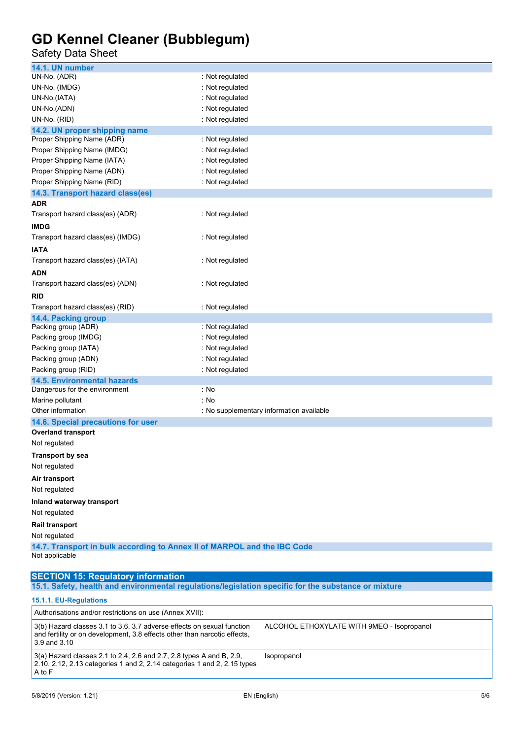### Safety Data Sheet

| 14.1. UN number                                                          |                                          |  |
|--------------------------------------------------------------------------|------------------------------------------|--|
| UN-No. (ADR)                                                             | : Not regulated                          |  |
| UN-No. (IMDG)                                                            | : Not regulated                          |  |
| UN-No.(IATA)                                                             | : Not regulated                          |  |
| UN-No.(ADN)                                                              | : Not regulated                          |  |
| UN-No. (RID)                                                             | : Not regulated                          |  |
| 14.2. UN proper shipping name                                            |                                          |  |
| Proper Shipping Name (ADR)                                               | : Not regulated                          |  |
| Proper Shipping Name (IMDG)                                              | : Not regulated                          |  |
| Proper Shipping Name (IATA)                                              | : Not regulated                          |  |
| Proper Shipping Name (ADN)                                               | : Not regulated                          |  |
| Proper Shipping Name (RID)                                               | : Not regulated                          |  |
| 14.3. Transport hazard class(es)                                         |                                          |  |
| ADR                                                                      |                                          |  |
| Transport hazard class(es) (ADR)                                         | : Not regulated                          |  |
| <b>IMDG</b>                                                              |                                          |  |
| Transport hazard class(es) (IMDG)                                        | : Not regulated                          |  |
| <b>IATA</b>                                                              |                                          |  |
| Transport hazard class(es) (IATA)                                        | : Not regulated                          |  |
| ADN                                                                      |                                          |  |
| Transport hazard class(es) (ADN)                                         | : Not regulated                          |  |
| RID                                                                      |                                          |  |
| Transport hazard class(es) (RID)                                         | : Not regulated                          |  |
| 14.4. Packing group                                                      |                                          |  |
| Packing group (ADR)                                                      | : Not regulated                          |  |
| Packing group (IMDG)                                                     | : Not regulated                          |  |
| Packing group (IATA)                                                     | : Not regulated                          |  |
| Packing group (ADN)                                                      | : Not regulated                          |  |
| Packing group (RID)                                                      | : Not regulated                          |  |
| <b>14.5. Environmental hazards</b>                                       |                                          |  |
| Dangerous for the environment                                            | : No                                     |  |
| Marine pollutant                                                         | : No                                     |  |
| Other information                                                        | : No supplementary information available |  |
| 14.6. Special precautions for user                                       |                                          |  |
| <b>Overland transport</b>                                                |                                          |  |
| Not regulated                                                            |                                          |  |
| <b>Transport by sea</b>                                                  |                                          |  |
| Not regulated                                                            |                                          |  |
| Air transport                                                            |                                          |  |
| Not regulated                                                            |                                          |  |
| Inland waterway transport                                                |                                          |  |
| Not regulated                                                            |                                          |  |
| Rail transport                                                           |                                          |  |
| Not regulated                                                            |                                          |  |
| 14.7. Transport in bulk according to Annex II of MARPOL and the IBC Code |                                          |  |
| Not applicable                                                           |                                          |  |
|                                                                          |                                          |  |
|                                                                          |                                          |  |

#### **SECTION 15: Regulatory information**

**15.1. Safety, health and environmental regulations/legislation specific for the substance or mixture**

### **15.1.1. EU-Regulations**

| Authorisations and/or restrictions on use (Annex XVII):                                                                                                                 |                                            |  |
|-------------------------------------------------------------------------------------------------------------------------------------------------------------------------|--------------------------------------------|--|
| 3(b) Hazard classes 3.1 to 3.6, 3.7 adverse effects on sexual function<br>and fertility or on development, 3.8 effects other than narcotic effects,<br>$3.9$ and $3.10$ | ALCOHOL ETHOXYLATE WITH 9MEO - Isopropanol |  |
| $3(a)$ Hazard classes 2.1 to 2.4, 2.6 and 2.7, 2.8 types A and B, 2.9,<br>2.10, 2.12, 2.13 categories 1 and 2, 2.14 categories 1 and 2, 2.15 types<br>A to F            | Isopropanol                                |  |